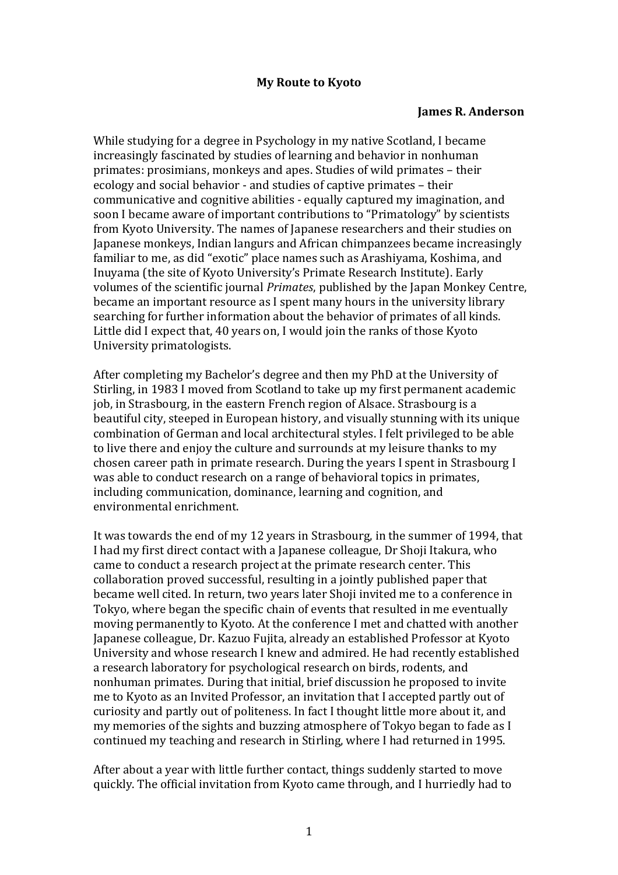## **My Route to Kyoto**

## **James R. Anderson**

While studying for a degree in Psychology in my native Scotland, I became increasingly fascinated by studies of learning and behavior in nonhuman primates: prosimians, monkeys and apes. Studies of wild primates – their ecology and social behavior - and studies of captive primates – their communicative and cognitive abilities - equally captured my imagination, and soon I became aware of important contributions to "Primatology" by scientists from Kyoto University. The names of Japanese researchers and their studies on Japanese monkeys, Indian langurs and African chimpanzees became increasingly familiar to me, as did "exotic" place names such as Arashiyama, Koshima, and Inuyama (the site of Kyoto University's Primate Research Institute). Early volumes of the scientific journal *Primates*, published by the Japan Monkey Centre, became an important resource as I spent many hours in the university library searching for further information about the behavior of primates of all kinds. Little did I expect that, 40 years on, I would join the ranks of those Kyoto University primatologists.

After completing my Bachelor's degree and then my PhD at the University of Stirling, in 1983 I moved from Scotland to take up my first permanent academic job, in Strasbourg, in the eastern French region of Alsace. Strasbourg is a beautiful city, steeped in European history, and visually stunning with its unique combination of German and local architectural styles. I felt privileged to be able to live there and enjoy the culture and surrounds at my leisure thanks to my chosen career path in primate research. During the years I spent in Strasbourg I was able to conduct research on a range of behavioral topics in primates, including communication, dominance, learning and cognition, and environmental enrichment.

It was towards the end of my 12 years in Strasbourg, in the summer of 1994, that I had my first direct contact with a Japanese colleague, Dr Shoji Itakura, who came to conduct a research project at the primate research center. This collaboration proved successful, resulting in a jointly published paper that became well cited. In return, two years later Shoji invited me to a conference in Tokyo, where began the specific chain of events that resulted in me eventually moving permanently to Kyoto. At the conference I met and chatted with another Japanese colleague, Dr. Kazuo Fujita, already an established Professor at Kyoto University and whose research I knew and admired. He had recently established a research laboratory for psychological research on birds, rodents, and nonhuman primates. During that initial, brief discussion he proposed to invite me to Kyoto as an Invited Professor, an invitation that I accepted partly out of curiosity and partly out of politeness. In fact I thought little more about it, and my memories of the sights and buzzing atmosphere of Tokyo began to fade as I continued my teaching and research in Stirling, where I had returned in 1995.

After about a year with little further contact, things suddenly started to move quickly. The official invitation from Kyoto came through, and I hurriedly had to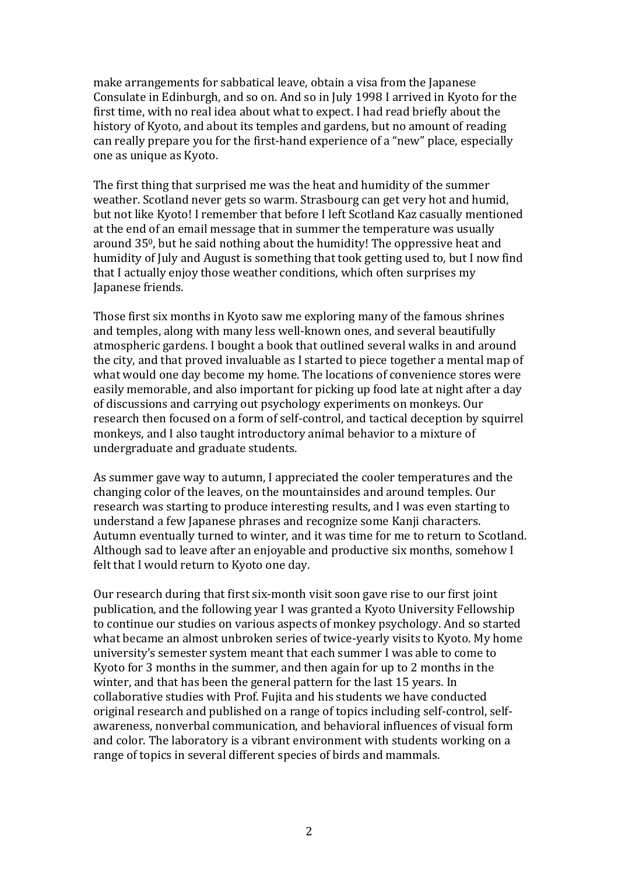make arrangements for sabbatical leave, obtain a visa from the Japanese Consulate in Edinburgh, and so on. And so in July 1998 I arrived in Kyoto for the first time, with no real idea about what to expect. I had read briefly about the history of Kyoto, and about its temples and gardens, but no amount of reading can really prepare you for the first-hand experience of a "new" place, especially one as unique as Kyoto.

The first thing that surprised me was the heat and humidity of the summer weather. Scotland never gets so warm. Strasbourg can get very hot and humid, but not like Kyoto! I remember that before I left Scotland Kaz casually mentioned at the end of an email message that in summer the temperature was usually around 350, but he said nothing about the humidity! The oppressive heat and humidity of July and August is something that took getting used to, but I now find that I actually enjoy those weather conditions, which often surprises my Japanese friends.

Those first six months in Kyoto saw me exploring many of the famous shrines and temples, along with many less well-known ones, and several beautifully atmospheric gardens. I bought a book that outlined several walks in and around the city, and that proved invaluable as I started to piece together a mental map of what would one day become my home. The locations of convenience stores were easily memorable, and also important for picking up food late at night after a day of discussions and carrying out psychology experiments on monkeys. Our research then focused on a form of self-control, and tactical deception by squirrel monkeys, and I also taught introductory animal behavior to a mixture of undergraduate and graduate students.

As summer gave way to autumn, I appreciated the cooler temperatures and the changing color of the leaves, on the mountainsides and around temples. Our research was starting to produce interesting results, and I was even starting to understand a few Japanese phrases and recognize some Kanji characters. Autumn eventually turned to winter, and it was time for me to return to Scotland. Although sad to leave after an enjoyable and productive six months, somehow I felt that I would return to Kyoto one day.

Our research during that first six-month visit soon gave rise to our first joint publication, and the following year I was granted a Kyoto University Fellowship to continue our studies on various aspects of monkey psychology. And so started what became an almost unbroken series of twice-yearly visits to Kyoto. My home university's semester system meant that each summer I was able to come to Kyoto for 3 months in the summer, and then again for up to 2 months in the winter, and that has been the general pattern for the last 15 years. In collaborative studies with Prof. Fujita and his students we have conducted original research and published on a range of topics including self-control, selfawareness, nonverbal communication, and behavioral influences of visual form and color. The laboratory is a vibrant environment with students working on a range of topics in several different species of birds and mammals.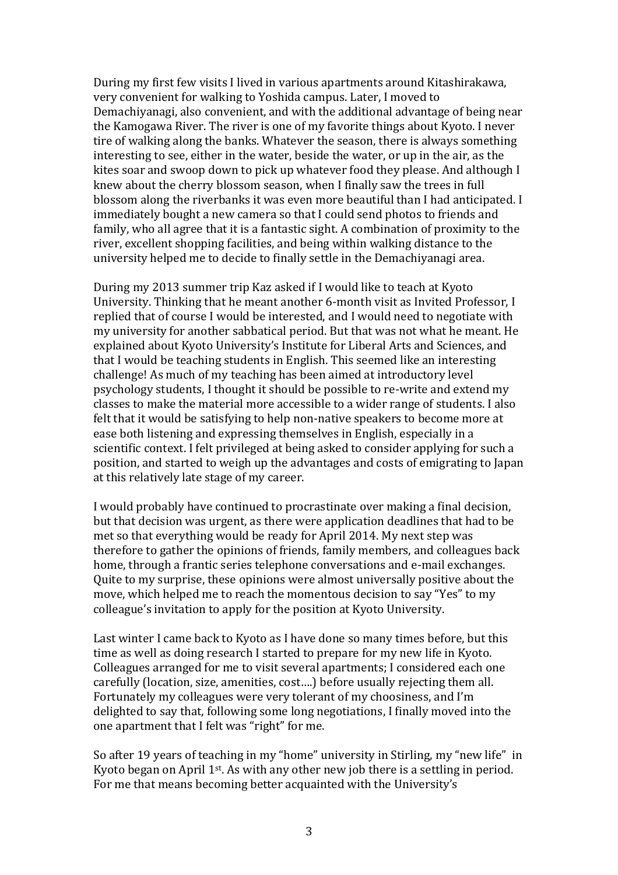During my first few visits I lived in various apartments around Kitashirakawa, very convenient for walking to Yoshida campus. Later, I moved to Demachiyanagi, also convenient, and with the additional advantage of being near the Kamogawa River. The river is one of my favorite things about Kyoto. I never tire of walking along the banks. Whatever the season, there is always something interesting to see, either in the water, beside the water, or up in the air, as the kites soar and swoop down to pick up whatever food they please. And although I knew about the cherry blossom season, when I finally saw the trees in full blossom along the riverbanks it was even more beautiful than I had anticipated. I immediately bought a new camera so that I could send photos to friends and family, who all agree that it is a fantastic sight. A combination of proximity to the river, excellent shopping facilities, and being within walking distance to the university helped me to decide to finally settle in the Demachiyanagi area.

During my 2013 summer trip Kaz asked if I would like to teach at Kyoto University. Thinking that he meant another 6-month visit as Invited Professor, I replied that of course I would be interested, and I would need to negotiate with my university for another sabbatical period. But that was not what he meant. He explained about Kyoto University's Institute for Liberal Arts and Sciences, and that I would be teaching students in English. This seemed like an interesting challenge! As much of my teaching has been aimed at introductory level psychology students, I thought it should be possible to re-write and extend my classes to make the material more accessible to a wider range of students. I also felt that it would be satisfying to help non-native speakers to become more at ease both listening and expressing themselves in English, especially in a scientific context. I felt privileged at being asked to consider applying for such a position, and started to weigh up the advantages and costs of emigrating to Japan at this relatively late stage of my career.

I would probably have continued to procrastinate over making a final decision, but that decision was urgent, as there were application deadlines that had to be met so that everything would be ready for April 2014. My next step was therefore to gather the opinions of friends, family members, and colleagues back home, through a frantic series telephone conversations and e-mail exchanges. Quite to my surprise, these opinions were almost universally positive about the move, which helped me to reach the momentous decision to say "Yes" to my colleague's invitation to apply for the position at Kyoto University.

Last winter I came back to Kyoto as I have done so many times before, but this time as well as doing research I started to prepare for my new life in Kyoto. Colleagues arranged for me to visit several apartments; I considered each one carefully (location, size, amenities, cost….) before usually rejecting them all. Fortunately my colleagues were very tolerant of my choosiness, and I'm delighted to say that, following some long negotiations, I finally moved into the one apartment that I felt was "right" for me.

So after 19 years of teaching in my "home" university in Stirling, my "new life" in Kyoto began on April  $1<sup>st</sup>$ . As with any other new job there is a settling in period. For me that means becoming better acquainted with the University's